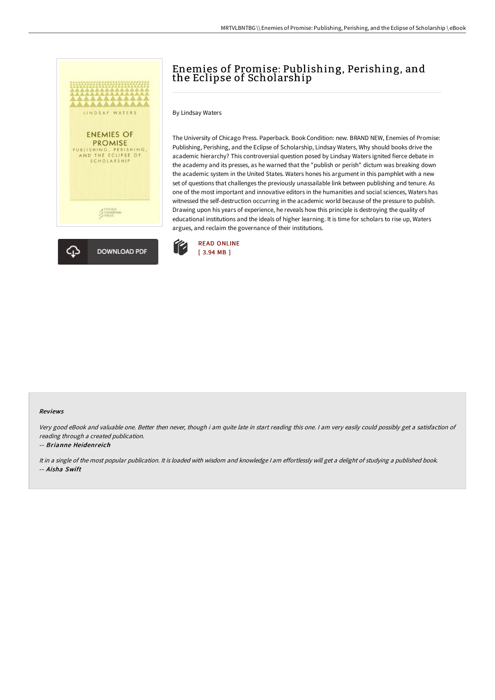



# Enemies of Promise: Publishing, Perishing, and the Eclipse of Scholarship

By Lindsay Waters

The University of Chicago Press. Paperback. Book Condition: new. BRAND NEW, Enemies of Promise: Publishing, Perishing, and the Eclipse of Scholarship, Lindsay Waters, Why should books drive the academic hierarchy? This controversial question posed by Lindsay Waters ignited fierce debate in the academy and its presses, as he warned that the "publish or perish" dictum was breaking down the academic system in the United States. Waters hones his argument in this pamphlet with a new set of questions that challenges the previously unassailable link between publishing and tenure. As one of the most important and innovative editors in the humanities and social sciences, Waters has witnessed the self-destruction occurring in the academic world because of the pressure to publish. Drawing upon his years of experience, he reveals how this principle is destroying the quality of educational institutions and the ideals of higher learning. It is time for scholars to rise up, Waters argues, and reclaim the governance of their institutions.



#### Reviews

Very good eBook and valuable one. Better then never, though i am quite late in start reading this one. <sup>I</sup> am very easily could possibly get <sup>a</sup> satisfaction of reading through <sup>a</sup> created publication.

### -- Brianne Heidenreich

It in <sup>a</sup> single of the most popular publication. It is loaded with wisdom and knowledge <sup>I</sup> am effortlessly will get <sup>a</sup> delight of studying <sup>a</sup> published book. -- Aisha Swift